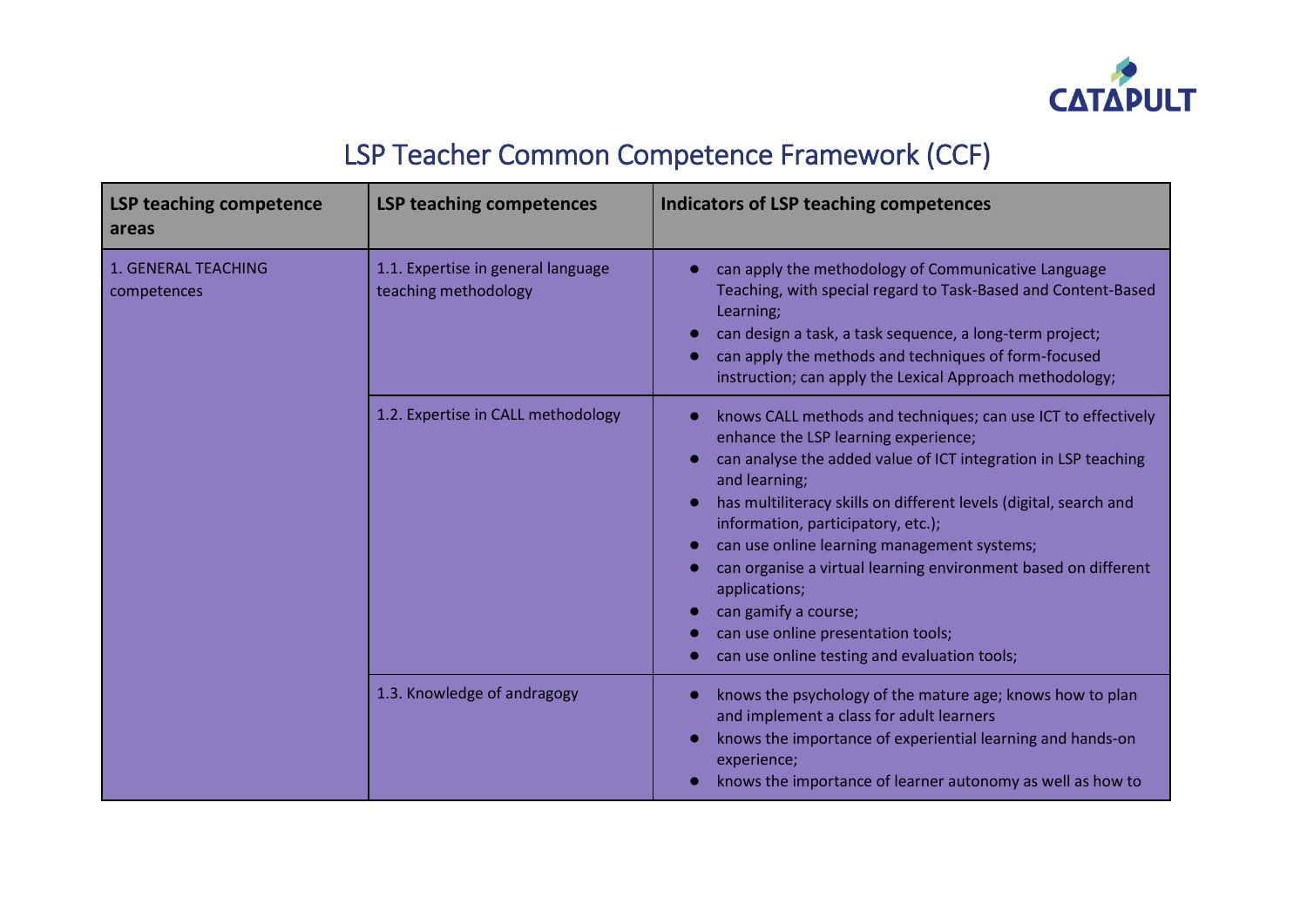

## LSP Teacher Common Competence Framework (CCF)

| <b>LSP teaching competence</b><br>areas | <b>LSP teaching competences</b>                            | <b>Indicators of LSP teaching competences</b>                                                                                                                                                                                                                                                                                                                                                                                                                                                                                                                                                           |
|-----------------------------------------|------------------------------------------------------------|---------------------------------------------------------------------------------------------------------------------------------------------------------------------------------------------------------------------------------------------------------------------------------------------------------------------------------------------------------------------------------------------------------------------------------------------------------------------------------------------------------------------------------------------------------------------------------------------------------|
| 1. GENERAL TEACHING<br>competences      | 1.1. Expertise in general language<br>teaching methodology | can apply the methodology of Communicative Language<br>Teaching, with special regard to Task-Based and Content-Based<br>Learning;<br>can design a task, a task sequence, a long-term project;<br>can apply the methods and techniques of form-focused<br>instruction; can apply the Lexical Approach methodology;                                                                                                                                                                                                                                                                                       |
|                                         | 1.2. Expertise in CALL methodology                         | knows CALL methods and techniques; can use ICT to effectively<br>$\bullet$<br>enhance the LSP learning experience;<br>can analyse the added value of ICT integration in LSP teaching<br>and learning;<br>has multiliteracy skills on different levels (digital, search and<br>$\bullet$<br>information, participatory, etc.);<br>can use online learning management systems;<br>can organise a virtual learning environment based on different<br>$\bullet$<br>applications;<br>can gamify a course;<br>can use online presentation tools;<br>$\bullet$<br>can use online testing and evaluation tools; |
|                                         | 1.3. Knowledge of andragogy                                | knows the psychology of the mature age; knows how to plan<br>and implement a class for adult learners<br>knows the importance of experiential learning and hands-on<br>experience;<br>knows the importance of learner autonomy as well as how to                                                                                                                                                                                                                                                                                                                                                        |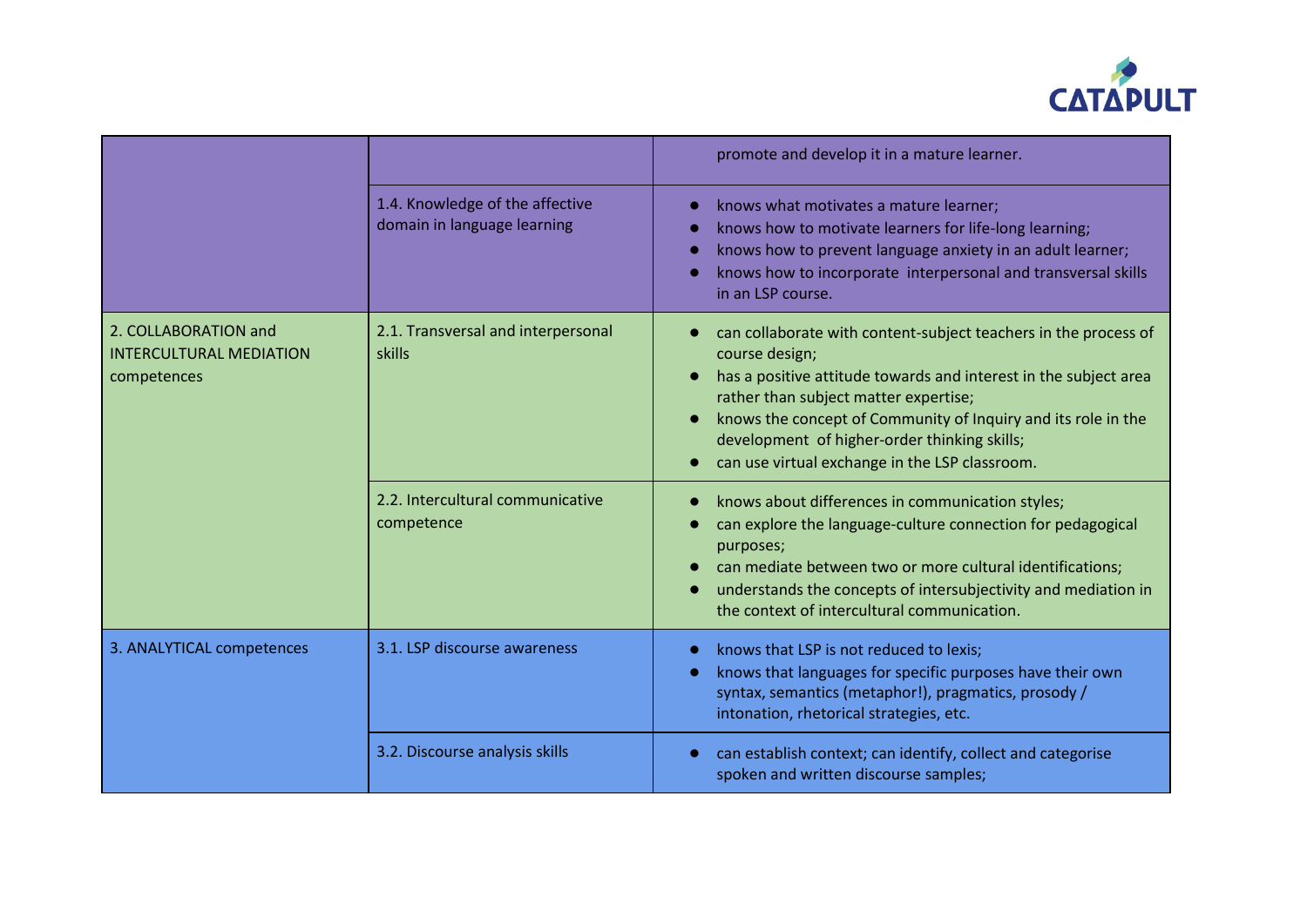

|                                                                       |                                                                | promote and develop it in a mature learner.                                                                                                                                                                                                                                                                                                                       |
|-----------------------------------------------------------------------|----------------------------------------------------------------|-------------------------------------------------------------------------------------------------------------------------------------------------------------------------------------------------------------------------------------------------------------------------------------------------------------------------------------------------------------------|
|                                                                       | 1.4. Knowledge of the affective<br>domain in language learning | knows what motivates a mature learner;<br>$\bullet$<br>knows how to motivate learners for life-long learning;<br>$\bullet$<br>knows how to prevent language anxiety in an adult learner;<br>$\bullet$<br>knows how to incorporate interpersonal and transversal skills<br>in an LSP course.                                                                       |
| 2. COLLABORATION and<br><b>INTERCULTURAL MEDIATION</b><br>competences | 2.1. Transversal and interpersonal<br>skills                   | can collaborate with content-subject teachers in the process of<br>course design;<br>has a positive attitude towards and interest in the subject area<br>rather than subject matter expertise;<br>knows the concept of Community of Inquiry and its role in the<br>development of higher-order thinking skills;<br>can use virtual exchange in the LSP classroom. |
|                                                                       | 2.2. Intercultural communicative<br>competence                 | knows about differences in communication styles;<br>can explore the language-culture connection for pedagogical<br>purposes;<br>can mediate between two or more cultural identifications;<br>understands the concepts of intersubjectivity and mediation in<br>the context of intercultural communication.                                                        |
| 3. ANALYTICAL competences                                             | 3.1. LSP discourse awareness                                   | knows that LSP is not reduced to lexis;<br>$\bullet$<br>knows that languages for specific purposes have their own<br>$\bullet$<br>syntax, semantics (metaphor!), pragmatics, prosody /<br>intonation, rhetorical strategies, etc.                                                                                                                                 |
|                                                                       | 3.2. Discourse analysis skills                                 | can establish context; can identify, collect and categorise<br>spoken and written discourse samples;                                                                                                                                                                                                                                                              |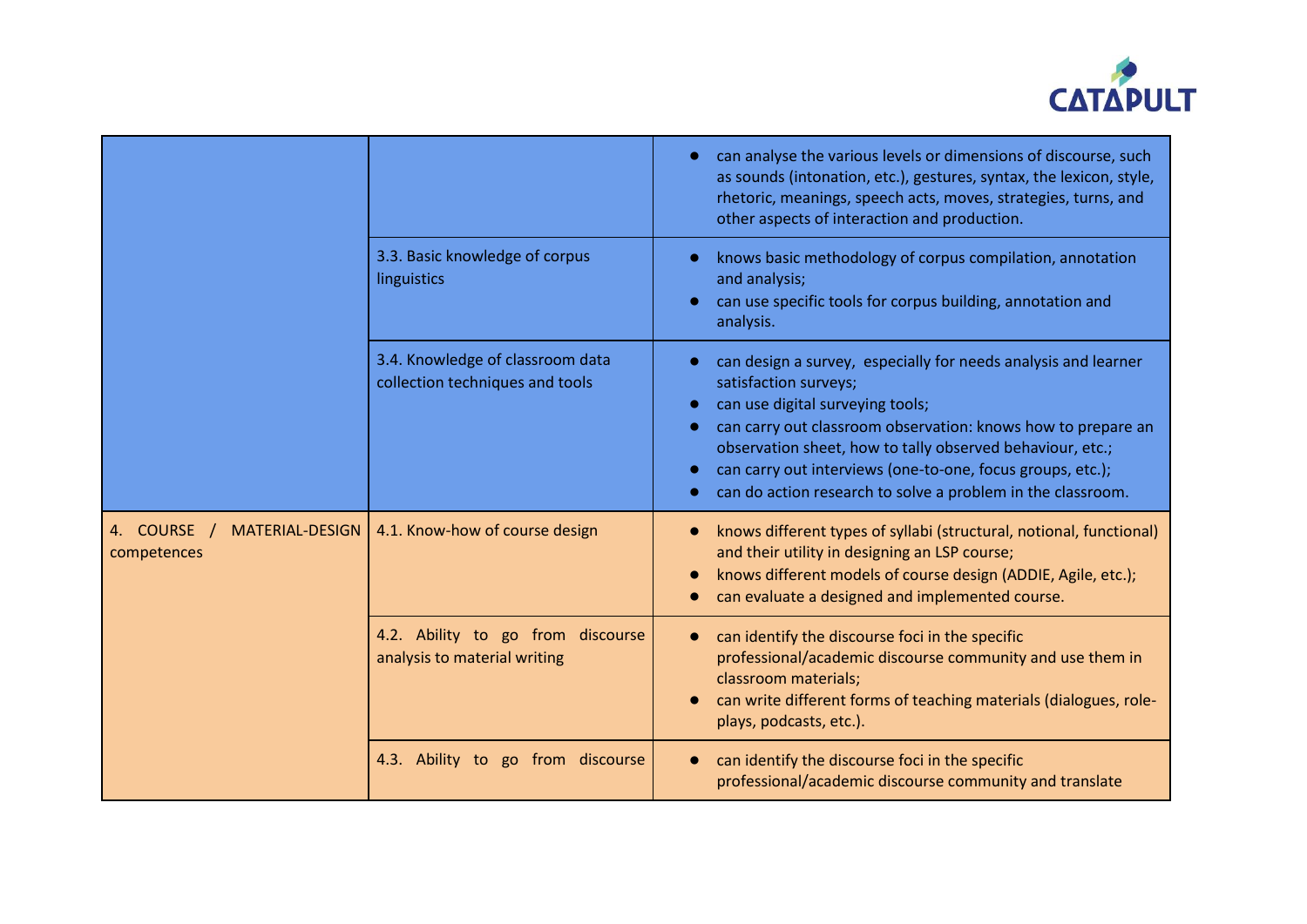

|                                                      |                                                                     | can analyse the various levels or dimensions of discourse, such<br>$\bullet$<br>as sounds (intonation, etc.), gestures, syntax, the lexicon, style,<br>rhetoric, meanings, speech acts, moves, strategies, turns, and<br>other aspects of interaction and production.                                                                                                                              |
|------------------------------------------------------|---------------------------------------------------------------------|----------------------------------------------------------------------------------------------------------------------------------------------------------------------------------------------------------------------------------------------------------------------------------------------------------------------------------------------------------------------------------------------------|
|                                                      | 3.3. Basic knowledge of corpus<br>linguistics                       | knows basic methodology of corpus compilation, annotation<br>and analysis;<br>can use specific tools for corpus building, annotation and<br>$\bullet$<br>analysis.                                                                                                                                                                                                                                 |
|                                                      | 3.4. Knowledge of classroom data<br>collection techniques and tools | can design a survey, especially for needs analysis and learner<br>satisfaction surveys;<br>can use digital surveying tools;<br>can carry out classroom observation: knows how to prepare an<br>$\bullet$<br>observation sheet, how to tally observed behaviour, etc.;<br>can carry out interviews (one-to-one, focus groups, etc.);<br>can do action research to solve a problem in the classroom. |
| 4. COURSE /<br><b>MATERIAL-DESIGN</b><br>competences | 4.1. Know-how of course design                                      | knows different types of syllabi (structural, notional, functional)<br>and their utility in designing an LSP course;<br>knows different models of course design (ADDIE, Agile, etc.);<br>can evaluate a designed and implemented course.                                                                                                                                                           |
|                                                      | 4.2. Ability to go from discourse<br>analysis to material writing   | can identify the discourse foci in the specific<br>professional/academic discourse community and use them in<br>classroom materials;<br>can write different forms of teaching materials (dialogues, role-<br>plays, podcasts, etc.).                                                                                                                                                               |
|                                                      | 4.3. Ability to go from discourse                                   | can identify the discourse foci in the specific<br>professional/academic discourse community and translate                                                                                                                                                                                                                                                                                         |